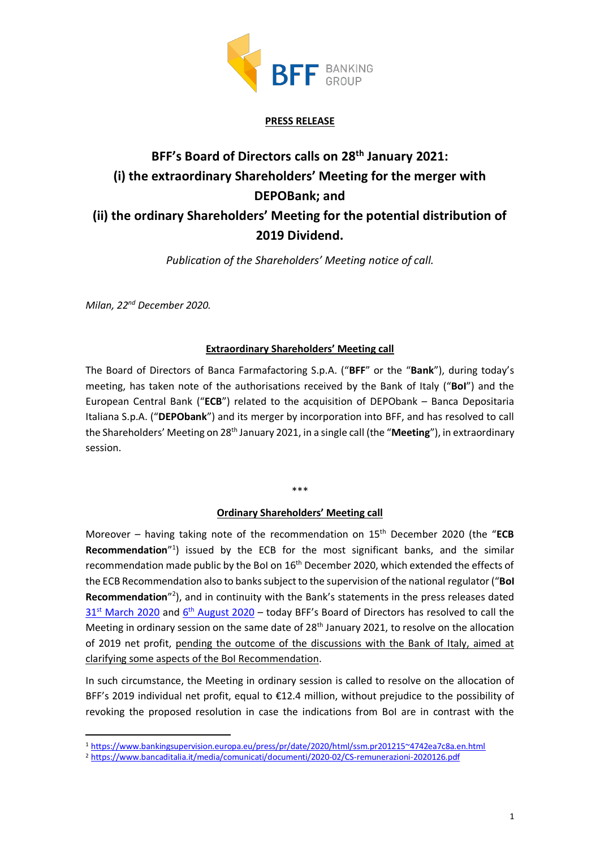

## **PRESS RELEASE**

# **BFF's Board of Directors calls on 28th January 2021: (i) the extraordinary Shareholders' Meeting for the merger with DEPOBank; and (ii) the ordinary Shareholders' Meeting for the potential distribution of 2019 Dividend.**

*Publication of the Shareholders' Meeting notice of call.*

*Milan, 22nd December 2020.*

### **Extraordinary Shareholders' Meeting call**

The Board of Directors of Banca Farmafactoring S.p.A. ("**BFF**" or the "**Bank**"), during today's meeting, has taken note of the authorisations received by the Bank of Italy ("**BoI**") and the European Central Bank ("**ECB**") related to the acquisition of DEPObank – Banca Depositaria Italiana S.p.A. ("**DEPObank**") and its merger by incorporation into BFF, and has resolved to call the Shareholders' Meeting on 28th January 2021, in a single call (the "**Meeting**"), in extraordinary session.

# \*\*\*

### **Ordinary Shareholders' Meeting call**

Moreover – having taking note of the recommendation on 15<sup>th</sup> December 2020 (the "ECB Recommendation<sup>"1</sup>) issued by the ECB for the most significant banks, and the similar recommendation made public by the BoI on 16<sup>th</sup> December 2020, which extended the effects of the ECB Recommendation also to banks subject to the supervision of the national regulator ("**BoI** Recommendation<sup>"2</sup>), and in continuity with the Bank's statements in the press releases dated 31<sup>st</sup> [March 2020](https://investor.bffgroup.com/documents/20152/0/BFF+-+PR+2019+Dividend+distribution_30.03.2020+%5BENG%5D.pdf/84323767-e285-e527-2dd3-49f7bef24d22) and 6<sup>th</sup> [August 2020](https://investor.bffgroup.com/documents/20152/0/BFF+-+PR_1H+2020+results_06.08.2020.pdf/66aaeb38-f8f2-5659-f356-1a684c9e32ee) - today BFF's Board of Directors has resolved to call the Meeting in ordinary session on the same date of 28<sup>th</sup> January 2021, to resolve on the allocation of 2019 net profit, pending the outcome of the discussions with the Bank of Italy, aimed at clarifying some aspects of the BoI Recommendation.

In such circumstance, the Meeting in ordinary session is called to resolve on the allocation of BFF's 2019 individual net profit, equal to €12.4 million, without prejudice to the possibility of revoking the proposed resolution in case the indications from BoI are in contrast with the

<sup>1</sup> <https://www.bankingsupervision.europa.eu/press/pr/date/2020/html/ssm.pr201215~4742ea7c8a.en.html>

<sup>2</sup> https://www.bancaditalia.it/media/comunicati/documenti/2020-02/CS-remunerazioni-2020126.pdf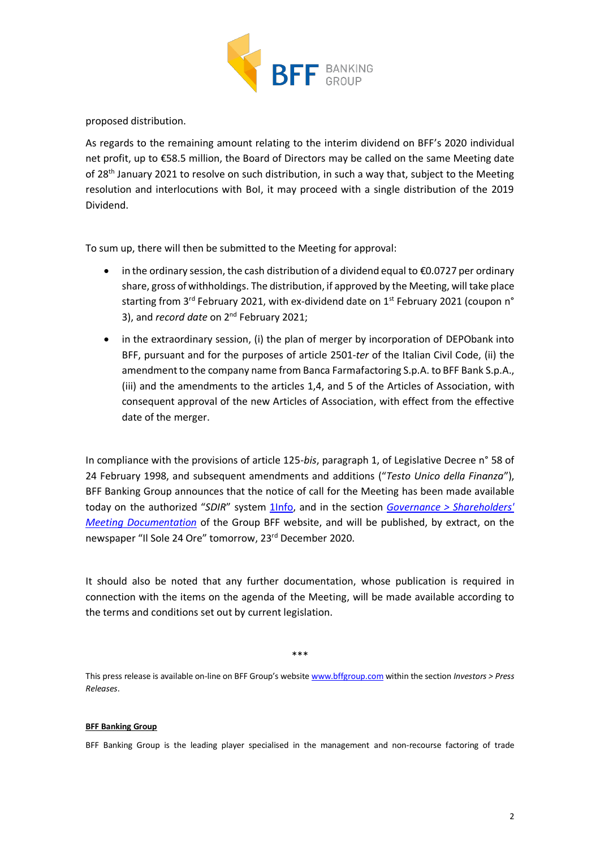

proposed distribution.

As regards to the remaining amount relating to the interim dividend on BFF's 2020 individual net profit, up to €58.5 million, the Board of Directors may be called on the same Meeting date of 28<sup>th</sup> January 2021 to resolve on such distribution, in such a way that, subject to the Meeting resolution and interlocutions with BoI, it may proceed with a single distribution of the 2019 Dividend.

To sum up, there will then be submitted to the Meeting for approval:

- in the ordinary session, the cash distribution of a dividend equal to  $\epsilon$ 0.0727 per ordinary share, gross of withholdings. The distribution, if approved by the Meeting, will take place starting from 3<sup>rd</sup> February 2021, with ex-dividend date on  $1<sup>st</sup>$  February 2021 (coupon n<sup>o</sup> 3), and *record date* on 2nd February 2021;
- in the extraordinary session, (i) the plan of merger by incorporation of DEPObank into BFF, pursuant and for the purposes of article 2501-*ter* of the Italian Civil Code, (ii) the amendment to the company name from Banca Farmafactoring S.p.A. to BFF Bank S.p.A., (iii) and the amendments to the articles 1,4, and 5 of the Articles of Association, with consequent approval of the new Articles of Association, with effect from the effective date of the merger.

In compliance with the provisions of article 125-*bis*, paragraph 1, of Legislative Decree n° 58 of 24 February 1998, and subsequent amendments and additions ("*Testo Unico della Finanza*"), BFF Banking Group announces that the notice of call for the Meeting has been made available today on the authorized "*SDIR*" system [1Info,](https://www.1info.it/PORTALE1INFO) and in the section *[Governance > Shareholders'](https://it.bffgroup.com/en/shareholders-meeting-documentation)  [Meeting Documentation](https://it.bffgroup.com/en/shareholders-meeting-documentation)* of the Group BFF website, and will be published, by extract, on the newspaper "Il Sole 24 Ore" tomorrow, 23rd December 2020.

It should also be noted that any further documentation, whose publication is required in connection with the items on the agenda of the Meeting, will be made available according to the terms and conditions set out by current legislation.

\*\*\*

This press release is available on-line on BFF Group's website [www.bffgroup.com](http://www.bffgroup.com/) within the section *Investors > Press Releases*.

### **BFF Banking Group**

BFF Banking Group is the leading player specialised in the management and non-recourse factoring of trade